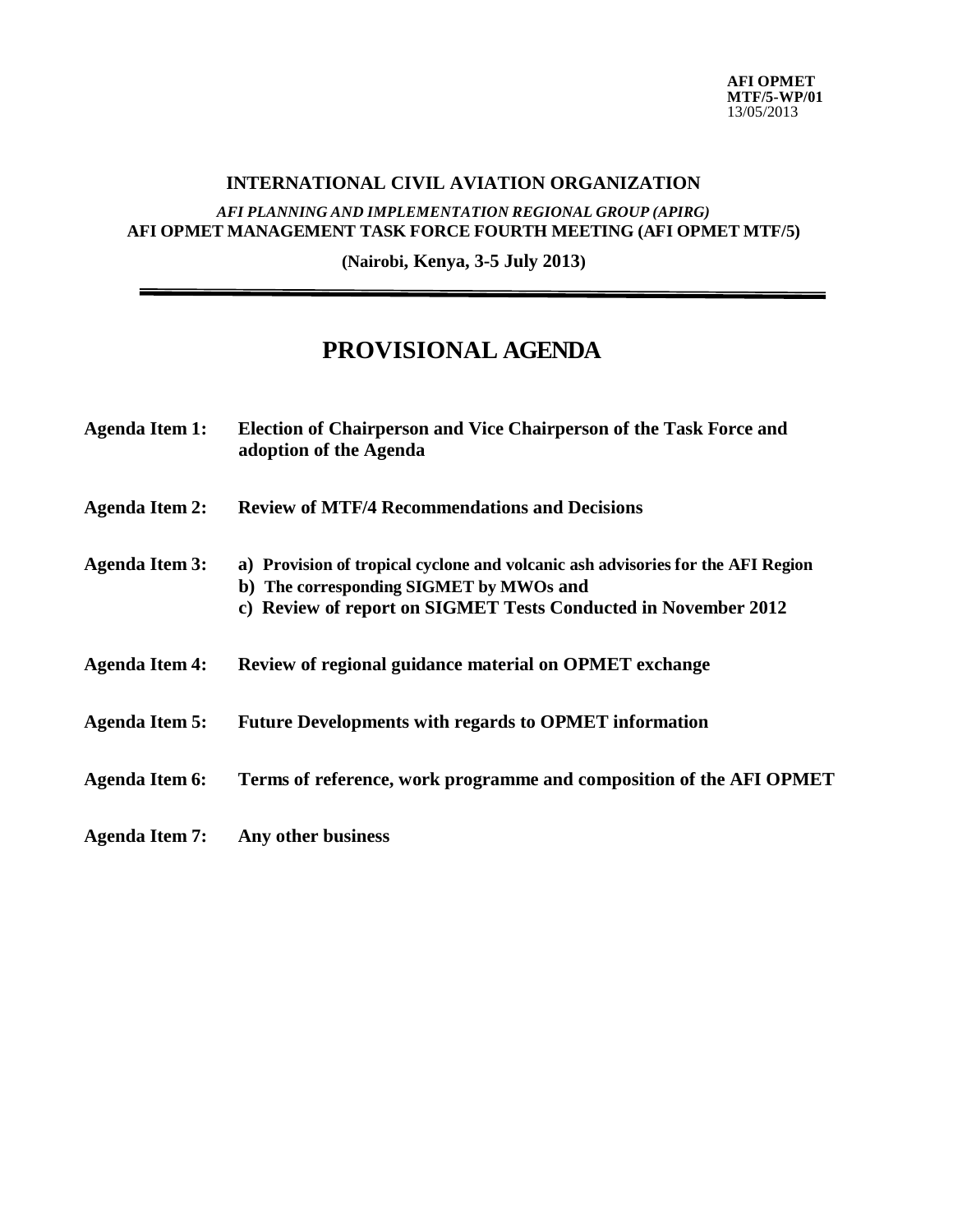## **INTERNATIONAL CIVIL AVIATION ORGANIZATION**

## *AFI PLANNING AND IMPLEMENTATION REGIONAL GROUP (APIRG)* **AFI OPMET MANAGEMENT TASK FORCE FOURTH MEETING (AFI OPMET MTF/5)**

**(Nairobi, Kenya, 3-5 July 2013)**

## **PROVISIONAL AGENDA**

| <b>Agenda Item 1:</b> | Election of Chairperson and Vice Chairperson of the Task Force and<br>adoption of the Agenda                                                                                                 |
|-----------------------|----------------------------------------------------------------------------------------------------------------------------------------------------------------------------------------------|
| <b>Agenda Item 2:</b> | <b>Review of MTF/4 Recommendations and Decisions</b>                                                                                                                                         |
| <b>Agenda Item 3:</b> | a) Provision of tropical cyclone and volcanic ash advisories for the AFI Region<br>b) The corresponding SIGMET by MWOs and<br>c) Review of report on SIGMET Tests Conducted in November 2012 |
| <b>Agenda Item 4:</b> | Review of regional guidance material on OPMET exchange                                                                                                                                       |
| <b>Agenda Item 5:</b> | <b>Future Developments with regards to OPMET information</b>                                                                                                                                 |
| <b>Agenda Item 6:</b> | Terms of reference, work programme and composition of the AFI OPMET                                                                                                                          |
| <b>Agenda Item 7:</b> | Any other business                                                                                                                                                                           |